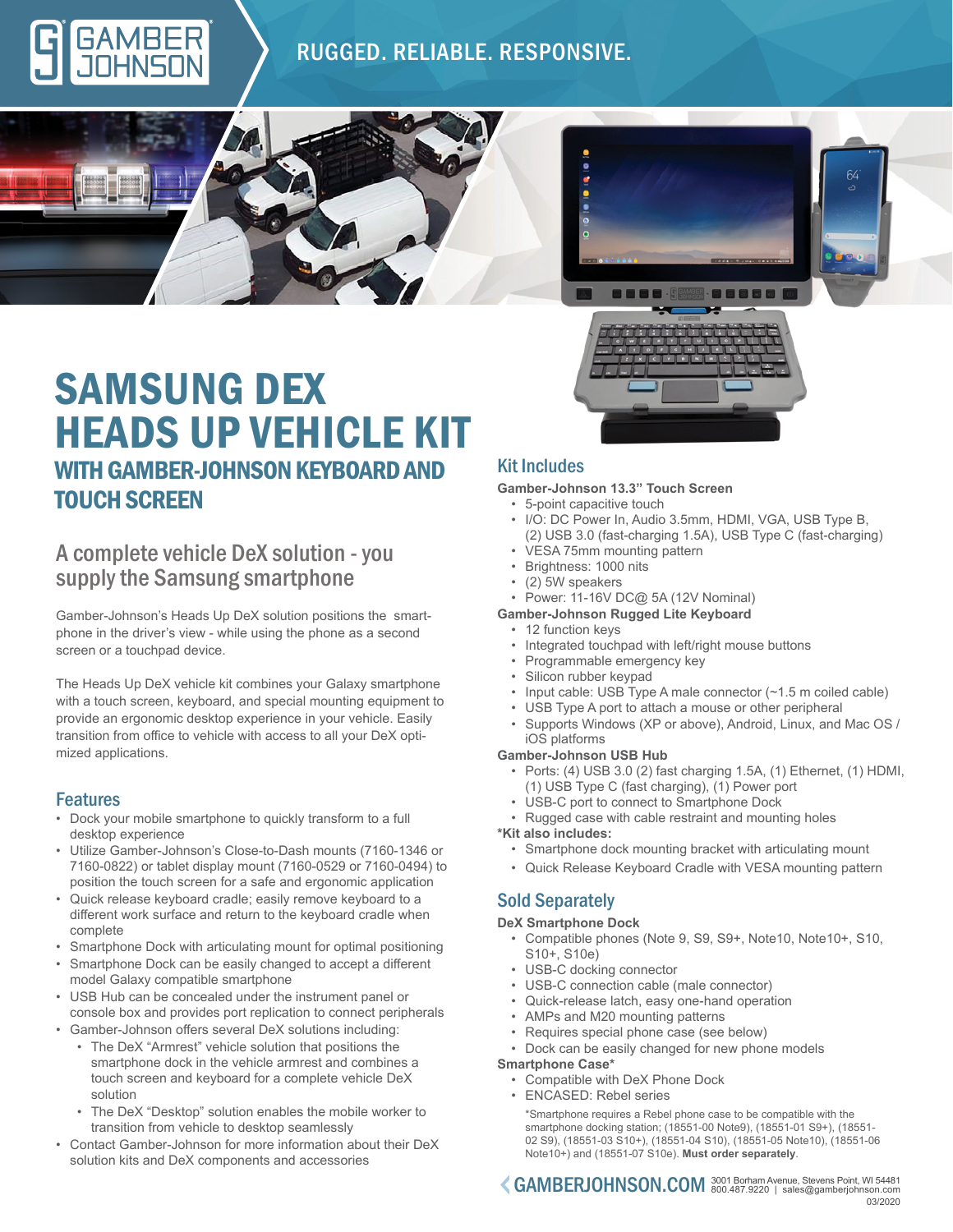

# RUGGED. RELIABLE. RESPONSIVE.





# SAMSUNG DEX HEADS UP VEHICLE KIT WITH GAMBER-JOHNSON KEYBOARD AND TOUCH SCREEN

# A complete vehicle DeX solution - you supply the Samsung smartphone

Gamber-Johnson's Heads Up DeX solution positions the smartphone in the driver's view - while using the phone as a second screen or a touchpad device.

The Heads Up DeX vehicle kit combines your Galaxy smartphone with a touch screen, keyboard, and special mounting equipment to provide an ergonomic desktop experience in your vehicle. Easily transition from office to vehicle with access to all your DeX optimized applications.

## Features

- Dock your mobile smartphone to quickly transform to a full desktop experience
- Utilize Gamber-Johnson's Close-to-Dash mounts (7160-1346 or 7160-0822) or tablet display mount (7160-0529 or 7160-0494) to position the touch screen for a safe and ergonomic application
- Quick release keyboard cradle; easily remove keyboard to a different work surface and return to the keyboard cradle when complete
- Smartphone Dock with articulating mount for optimal positioning
- Smartphone Dock can be easily changed to accept a different model Galaxy compatible smartphone
- USB Hub can be concealed under the instrument panel or console box and provides port replication to connect peripherals • Gamber-Johnson offers several DeX solutions including:
	- The DeX "Armrest" vehicle solution that positions the smartphone dock in the vehicle armrest and combines a touch screen and keyboard for a complete vehicle DeX solution
		- The DeX "Desktop" solution enables the mobile worker to transition from vehicle to desktop seamlessly
- Contact Gamber-Johnson for more information about their DeX solution kits and DeX components and accessories

## Kit Includes

#### **Gamber-Johnson 13.3" Touch Screen**

- 5-point capacitive touch • I/O: DC Power In, Audio 3.5mm, HDMI, VGA, USB Type B,
	- (2) USB 3.0 (fast-charging 1.5A), USB Type C (fast-charging)
- VESA 75mm mounting pattern
- Brightness: 1000 nits
- (2) 5W speakers
- Power: 11-16V DC@ 5A (12V Nominal)
- **Gamber-Johnson Rugged Lite Keyboard**
	- 12 function keys
	- Integrated touchpad with left/right mouse buttons
	- Programmable emergency key
	- Silicon rubber keypad
	- Input cable: USB Type A male connector (~1.5 m coiled cable)
	- USB Type A port to attach a mouse or other peripheral
	- Supports Windows (XP or above), Android, Linux, and Mac OS / iOS platforms

#### **Gamber-Johnson USB Hub**

- Ports: (4) USB 3.0 (2) fast charging 1.5A, (1) Ethernet, (1) HDMI, (1) USB Type C (fast charging), (1) Power port
- USB-C port to connect to Smartphone Dock
- Rugged case with cable restraint and mounting holes

#### **\*Kit also includes:**

- Smartphone dock mounting bracket with articulating mount
- Quick Release Keyboard Cradle with VESA mounting pattern

## Sold Separately

### **DeX Smartphone Dock**

- Compatible phones (Note 9, S9, S9+, Note10, Note10+, S10, S10+, S10e)
- USB-C docking connector
- USB-C connection cable (male connector)
- Quick-release latch, easy one-hand operation
- AMPs and M20 mounting patterns
- Requires special phone case (see below)
- Dock can be easily changed for new phone models

## **Smartphone Case\***

- Compatible with DeX Phone Dock
- ENCASED: Rebel series

\*Smartphone requires a Rebel phone case to be compatible with the smartphone docking station; (18551-00 Note9), (18551-01 S9+), (18551- 02 S9), (18551-03 S10+), (18551-04 S10), (18551-05 Note10), (18551-06 Note10+) and (18551-07 S10e). **Must order separately**.